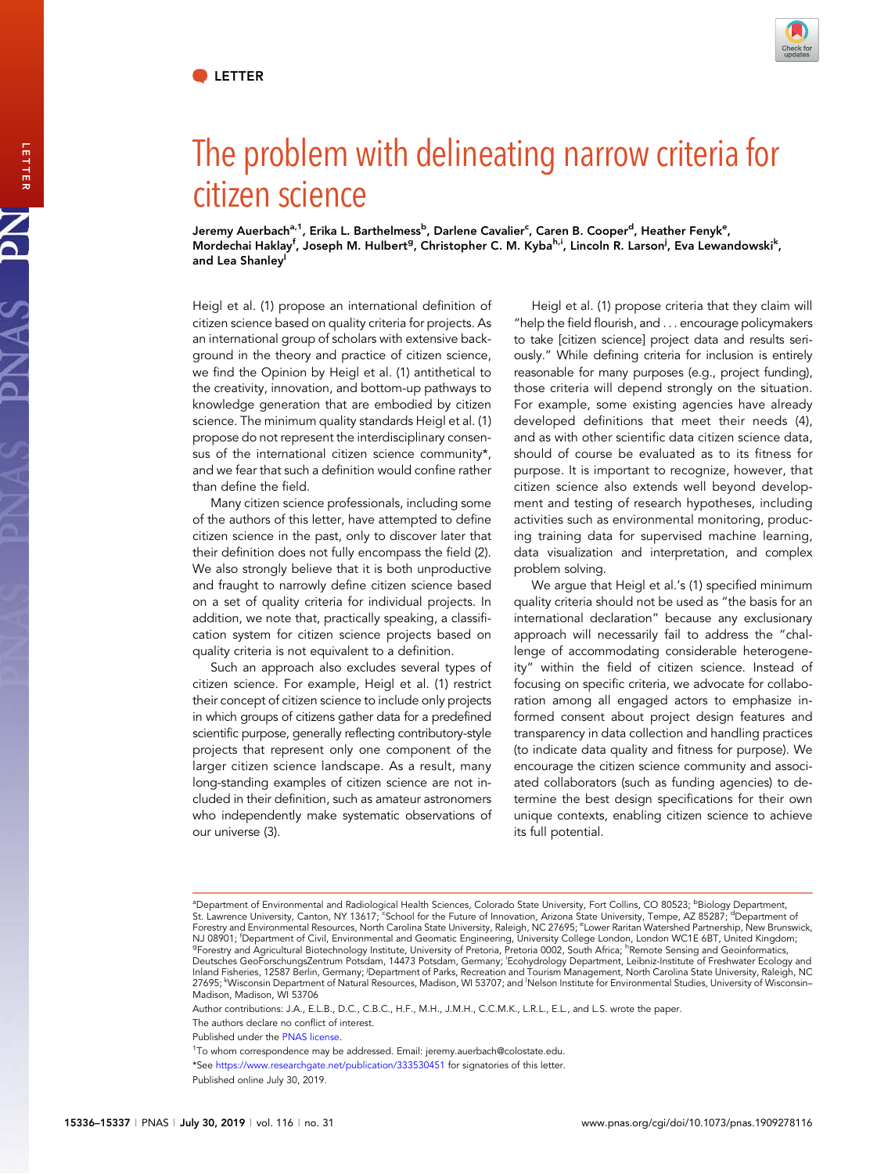

## The problem with delineating narrow criteria for citizen science

Jeremy Auerbach<sup>a,1</sup>, Erika L. Barthelmess<sup>b</sup>, Darlene Cavalier<sup>c</sup>, Caren B. Cooper<sup>d</sup>, Heather Fenyk<sup>e</sup>, Mordechai Haklay<sup>f</sup>, Joseph M. Hulbert<sup>g</sup>, Christopher C. M. Kyba<sup>h, j</sup>, Lincoln R. Larson<sup>j</sup>, Eva Lewandowski<sup>k</sup>, and Lea Shanley

Heigl et al. (1) propose an international definition of citizen science based on quality criteria for projects. As an international group of scholars with extensive background in the theory and practice of citizen science, we find the Opinion by Heigl et al. (1) antithetical to the creativity, innovation, and bottom-up pathways to knowledge generation that are embodied by citizen science. The minimum quality standards Heigl et al. (1) propose do not represent the interdisciplinary consensus of the international citizen science community\*, and we fear that such a definition would confine rather than define the field.

Many citizen science professionals, including some of the authors of this letter, have attempted to define citizen science in the past, only to discover later that their definition does not fully encompass the field (2). We also strongly believe that it is both unproductive and fraught to narrowly define citizen science based on a set of quality criteria for individual projects. In addition, we note that, practically speaking, a classification system for citizen science projects based on quality criteria is not equivalent to a definition.

Such an approach also excludes several types of citizen science. For example, Heigl et al. (1) restrict their concept of citizen science to include only projects in which groups of citizens gather data for a predefined scientific purpose, generally reflecting contributory-style projects that represent only one component of the larger citizen science landscape. As a result, many long-standing examples of citizen science are not included in their definition, such as amateur astronomers who independently make systematic observations of our universe (3).

Heigl et al. (1) propose criteria that they claim will "help the field flourish, and ... encourage policymakers to take [citizen science] project data and results seriously." While defining criteria for inclusion is entirely reasonable for many purposes (e.g., project funding), those criteria will depend strongly on the situation. For example, some existing agencies have already developed definitions that meet their needs (4), and as with other scientific data citizen science data, should of course be evaluated as to its fitness for purpose. It is important to recognize, however, that citizen science also extends well beyond development and testing of research hypotheses, including activities such as environmental monitoring, producing training data for supervised machine learning, data visualization and interpretation, and complex problem solving.

We argue that Heigl et al.'s (1) specified minimum quality criteria should not be used as "the basis for an international declaration" because any exclusionary approach will necessarily fail to address the "challenge of accommodating considerable heterogeneity" within the field of citizen science. Instead of focusing on specific criteria, we advocate for collaboration among all engaged actors to emphasize informed consent about project design features and transparency in data collection and handling practices (to indicate data quality and fitness for purpose). We encourage the citizen science community and associated collaborators (such as funding agencies) to determine the best design specifications for their own unique contexts, enabling citizen science to achieve its full potential.

Author contributions: J.A., E.L.B., D.C., C.B.C., H.F., M.H., J.M.H., C.C.M.K., L.R.L., E.L., and L.S. wrote the paper.

The authors declare no conflict of interest.

Published under the [PNAS license](https://www.pnas.org/site/aboutpnas/licenses.xhtml).

<sup>1</sup>To whom correspondence may be addressed. Email: [jeremy.auerbach@colostate.edu](mailto:jeremy.auerbach@colostate.edu).

\*See <https://www.researchgate.net/publication/333530451> for signatories of this letter.

PNAS

<sup>&</sup>lt;sup>a</sup>Department of Environmental and Radiological Health Sciences, Colorado State University, Fort Collins, CO 80523; <sup>b</sup>Biology Department,<br>St. Lawrence University, Canton, NY 13617; 'School for the Future of Innovation, Ar Forestry and Environmental Resources, North Carolina State University, Raleigh, NC 27695; <sup>e</sup>Lower Raritan Watershed Partnership, New Brunswick, NJ 08901; <sup>f</sup>Department of Civil, Environmental and Geomatic Engineering, University College London, London WC1E 6BT, United Kingdom;<br>SEcretar and Agricultural Biotochacleau Institute, University of Brataria Brataria 0002, Forestry and Agricultural Biotechnology Institute, University of Pretoria, Pretoria 0002, South Africa; <sup>h</sup>Remote Sensing and Geoinformatics, Deutsches GeoForschungsZentrum Potsdam, 14473 Potsdam, Germany; <sup>i</sup> Ecohydrology Department, Leibniz-Institute of Freshwater Ecology and Inland Fisheries, 12587 Berlin, Germany; <sup>j</sup>Department of Parks, Recreation and Tourism Management, North Carolina State University, Raleigh, NC 27695; <sup>k</sup>Wisconsin Department of Natural Resources, Madison, WI 53707; and <sup>I</sup>Nelson Institute for Environmental Studies, University of Wisconsin-Madison, Madison, WI 53706

Published online July 30, 2019.